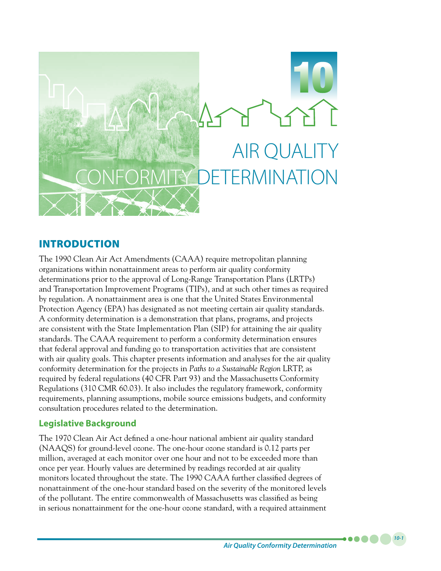

# INTRODUCTION

The 1990 Clean Air Act Amendments (CAAA) require metropolitan planning organizations within nonattainment areas to perform air quality conformity determinations prior to the approval of Long-Range Transportation Plans (LRTPs) and Transportation Improvement Programs (TIPs), and at such other times as required by regulation. A nonattainment area is one that the United States Environmental Protection Agency (EPA) has designated as not meeting certain air quality standards. A conformity determination is a demonstration that plans, programs, and projects are consistent with the State Implementation Plan (SIP) for attaining the air quality standards. The CAAA requirement to perform a conformity determination ensures that federal approval and funding go to transportation activities that are consistent with air quality goals. This chapter presents information and analyses for the air quality conformity determination for the projects in *Paths to a Sustainable Region* LRTP, as required by federal regulations (40 CFR Part 93) and the Massachusetts Conformity Regulations (310 CMR 60.03). It also includes the regulatory framework, conformity requirements, planning assumptions, mobile source emissions budgets, and conformity consultation procedures related to the determination.

# **Legislative Background**

The 1970 Clean Air Act defined a one-hour national ambient air quality standard (NAAQS) for ground-level ozone. The one-hour ozone standard is 0.12 parts per million, averaged at each monitor over one hour and not to be exceeded more than once per year. Hourly values are determined by readings recorded at air quality monitors located throughout the state. The 1990 CAAA further classified degrees of nonattainment of the one-hour standard based on the severity of the monitored levels of the pollutant. The entire commonwealth of Massachusetts was classified as being in serious nonattainment for the one-hour ozone standard, with a required attainment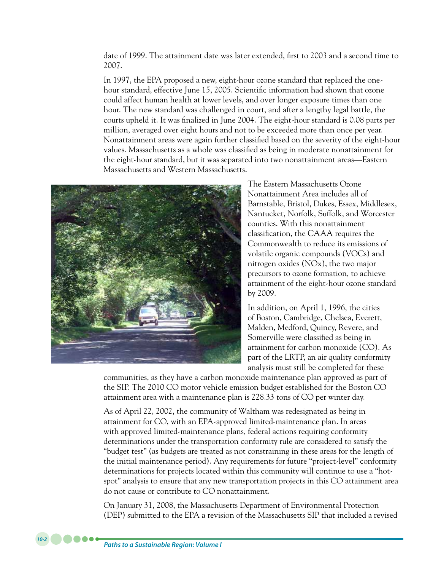date of 1999. The attainment date was later extended, first to 2003 and a second time to 2007.

In 1997, the EPA proposed a new, eight-hour ozone standard that replaced the onehour standard, effective June 15, 2005. Scientific information had shown that ozone could affect human health at lower levels, and over longer exposure times than one hour. The new standard was challenged in court, and after a lengthy legal battle, the courts upheld it. It was finalized in June 2004. The eight-hour standard is 0.08 parts per million, averaged over eight hours and not to be exceeded more than once per year. Nonattainment areas were again further classified based on the severity of the eight-hour values. Massachusetts as a whole was classified as being in moderate nonattainment for the eight-hour standard, but it was separated into two nonattainment areas—Eastern Massachusetts and Western Massachusetts.



The Eastern Massachusetts Ozone Nonattainment Area includes all of Barnstable, Bristol, Dukes, Essex, Middlesex, Nantucket, Norfolk, Suffolk, and Worcester counties. With this nonattainment classification, the CAAA requires the Commonwealth to reduce its emissions of volatile organic compounds (VOCs) and nitrogen oxides (NOx), the two major precursors to ozone formation, to achieve attainment of the eight-hour ozone standard by 2009.

In addition, on April 1, 1996, the cities of Boston, Cambridge, Chelsea, Everett, Malden, Medford, Quincy, Revere, and Somerville were classified as being in attainment for carbon monoxide (CO). As part of the LRTP, an air quality conformity analysis must still be completed for these

communities, as they have a carbon monoxide maintenance plan approved as part of the SIP. The 2010 CO motor vehicle emission budget established for the Boston CO attainment area with a maintenance plan is 228.33 tons of CO per winter day.

As of April 22, 2002, the community of Waltham was redesignated as being in attainment for CO, with an EPA-approved limited-maintenance plan. In areas with approved limited-maintenance plans, federal actions requiring conformity determinations under the transportation conformity rule are considered to satisfy the "budget test" (as budgets are treated as not constraining in these areas for the length of the initial maintenance period). Any requirements for future "project-level" conformity determinations for projects located within this community will continue to use a "hotspot" analysis to ensure that any new transportation projects in this CO attainment area do not cause or contribute to CO nonattainment.

On January 31, 2008, the Massachusetts Department of Environmental Protection (DEP) submitted to the EPA a revision of the Massachusetts SIP that included a revised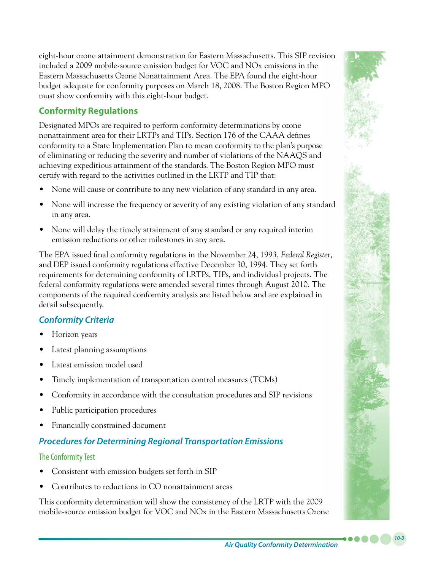eight-hour ozone attainment demonstration for Eastern Massachusetts. This SIP revision included a 2009 mobile-source emission budget for VOC and NOx emissions in the Eastern Massachusetts Ozone Nonattainment Area. The EPA found the eight-hour budget adequate for conformity purposes on March 18, 2008. The Boston Region MPO must show conformity with this eight-hour budget.

# **Conformity Regulations**

Designated MPOs are required to perform conformity determinations by ozone nonattainment area for their LRTPs and TIPs. Section 176 of the CAAA defines conformity to a State Implementation Plan to mean conformity to the plan's purpose of eliminating or reducing the severity and number of violations of the NAAQS and achieving expeditious attainment of the standards. The Boston Region MPO must certify with regard to the activities outlined in the LRTP and TIP that:

- None will cause or contribute to any new violation of any standard in any area.
- None will increase the frequency or severity of any existing violation of any standard in any area.
- None will delay the timely attainment of any standard or any required interim emission reductions or other milestones in any area.

The EPA issued final conformity regulations in the November 24, 1993, *Federal Register*, and DEP issued conformity regulations effective December 30, 1994. They set forth requirements for determining conformity of LRTPs, TIPs, and individual projects. The federal conformity regulations were amended several times through August 2010. The components of the required conformity analysis are listed below and are explained in detail subsequently.

# *Conformity Criteria*

- Horizon years
- Latest planning assumptions
- Latest emission model used
- Timely implementation of transportation control measures (TCMs)
- Conformity in accordance with the consultation procedures and SIP revisions
- Public participation procedures
- **Financially constrained document**

# *Procedures for Determining Regional Transportation Emissions*

# The Conformity Test

- Consistent with emission budgets set forth in SIP
- Contributes to reductions in CO nonattainment areas

This conformity determination will show the consistency of the LRTP with the 2009 mobile-source emission budget for VOC and NOx in the Eastern Massachusetts Ozone

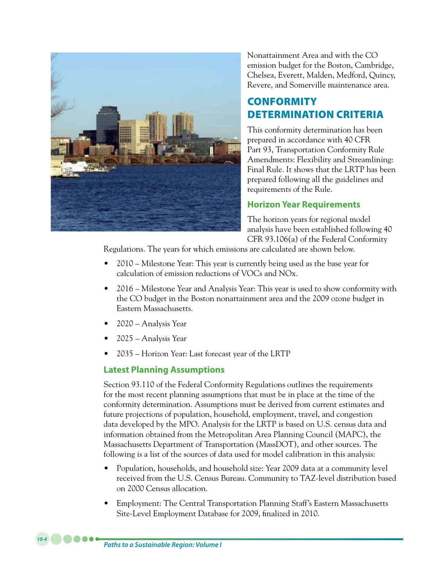

Nonattainment Area and with the CO emission budget for the Boston, Cambridge, Chelsea, Everett, Malden, Medford, Quincy, Revere, and Somerville maintenance area.

# **CONFORMITY** DETERMINATION CRITERIA

This conformity determination has been prepared in accordance with 40 CFR Part 93, Transportation Conformity Rule Amendments: Flexibility and Streamlining: Final Rule. It shows that the LRTP has been prepared following all the guidelines and requirements of the Rule.

# **Horizon Year Requirements**

The horizon years for regional model analysis have been established following 40 CFR 93.106(a) of the Federal Conformity

Regulations. The years for which emissions are calculated are shown below.

- 2010 Milestone Year: This year is currently being used as the base year for calculation of emission reductions of VOCs and NOx.
- 2016 Milestone Year and Analysis Year: This year is used to show conformity with the CO budget in the Boston nonattainment area and the 2009 ozone budget in Eastern Massachusetts.
- 2020 Analysis Year
- 2025 Analysis Year
- 2035 Horizon Year: Last forecast year of the LRTP

### **Latest Planning Assumptions**

Section 93.110 of the Federal Conformity Regulations outlines the requirements for the most recent planning assumptions that must be in place at the time of the conformity determination. Assumptions must be derived from current estimates and future projections of population, household, employment, travel, and congestion data developed by the MPO. Analysis for the LRTP is based on U.S. census data and information obtained from the Metropolitan Area Planning Council (MAPC), the Massachusetts Department of Transportation (MassDOT), and other sources. The following is a list of the sources of data used for model calibration in this analysis:

- Population, households, and household size: Year 2009 data at a community level received from the U.S. Census Bureau. Community to TAZ-level distribution based on 2000 Census allocation.
- Employment: The Central Transportation Planning Staff's Eastern Massachusetts Site-Level Employment Database for 2009, finalized in 2010.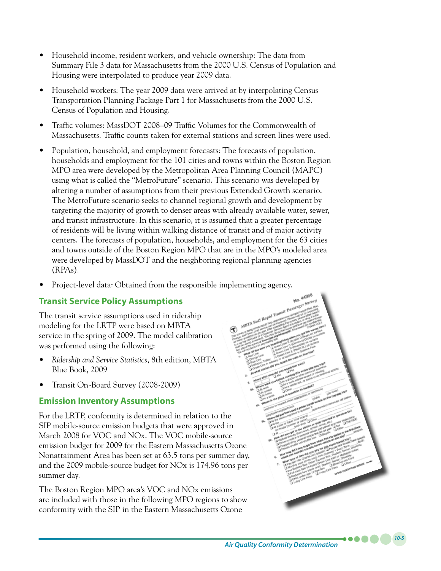- Household income, resident workers, and vehicle ownership: The data from Summary File 3 data for Massachusetts from the 2000 U.S. Census of Population and Housing were interpolated to produce year 2009 data.
- Household workers: The year 2009 data were arrived at by interpolating Census Transportation Planning Package Part 1 for Massachusetts from the 2000 U.S. Census of Population and Housing.
- Traffic volumes: MassDOT 2008–09 Traffic Volumes for the Commonwealth of Massachusetts. Traffic counts taken for external stations and screen lines were used.
- Population, household, and employment forecasts: The forecasts of population, households and employment for the 101 cities and towns within the Boston Region MPO area were developed by the Metropolitan Area Planning Council (MAPC) using what is called the "MetroFuture" scenario. This scenario was developed by altering a number of assumptions from their previous Extended Growth scenario. The MetroFuture scenario seeks to channel regional growth and development by targeting the majority of growth to denser areas with already available water, sewer, and transit infrastructure. In this scenario, it is assumed that a greater percentage of residents will be living within walking distance of transit and of major activity centers. The forecasts of population, households, and employment for the 63 cities and towns outside of the Boston Region MPO that are in the MPO's modeled area were developed by MassDOT and the neighboring regional planning agencies (RPAs).
- Project-level data: Obtained from the responsible implementing agency.

# **Transit Service Policy Assumptions**

The transit service assumptions used in ridership modeling for the LRTP were based on MBTA service in the spring of 2009. The model calibration was performed using the following:

- • *Ridership and Service Statistics*, 8th edition, MBTA Blue Book, 2009
- Transit On-Board Survey (2008-2009)

# **Emission Inventory Assumptions**

For the LRTP, conformity is determined in relation to the SIP mobile-source emission budgets that were approved in March 2008 for VOC and NOx. The VOC mobile-source emission budget for 2009 for the Eastern Massachusetts Ozone Nonattainment Area has been set at 63.5 tons per summer day, and the 2009 mobile-source budget for NOx is 174.96 tons per summer day.

The Boston Region MPO area's VOC and NOx emissions are included with those in the following MPO regions to show conformity with the SIP in the Eastern Massachusetts Ozone

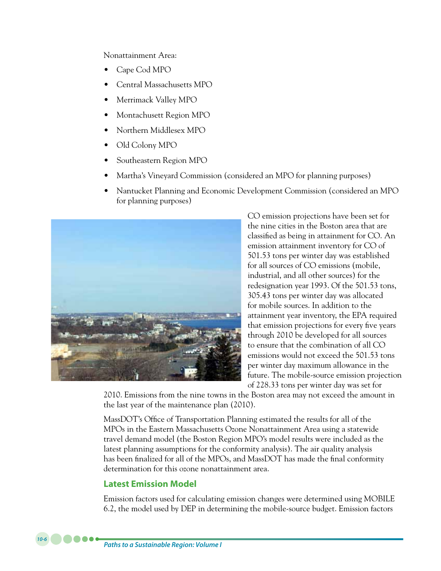Nonattainment Area:

- Cape Cod MPO
- Central Massachusetts MPO
- Merrimack Valley MPO
- Montachusett Region MPO
- Northern Middlesex MPO
- Old Colony MPO
- Southeastern Region MPO
- Martha's Vineyard Commission (considered an MPO for planning purposes)
- Nantucket Planning and Economic Development Commission (considered an MPO) for planning purposes)



CO emission projections have been set for the nine cities in the Boston area that are classified as being in attainment for CO. An emission attainment inventory for CO of 501.53 tons per winter day was established for all sources of CO emissions (mobile, industrial, and all other sources) for the redesignation year 1993. Of the 501.53 tons, 305.43 tons per winter day was allocated for mobile sources. In addition to the attainment year inventory, the EPA required that emission projections for every five years through 2010 be developed for all sources to ensure that the combination of all CO emissions would not exceed the 501.53 tons per winter day maximum allowance in the future. The mobile-source emission projection of 228.33 tons per winter day was set for

2010. Emissions from the nine towns in the Boston area may not exceed the amount in the last year of the maintenance plan (2010).

MassDOT's Office of Transportation Planning estimated the results for all of the MPOs in the Eastern Massachusetts Ozone Nonattainment Area using a statewide travel demand model (the Boston Region MPO's model results were included as the latest planning assumptions for the conformity analysis). The air quality analysis has been finalized for all of the MPOs, and MassDOT has made the final conformity determination for this ozone nonattainment area.

### **Latest Emission Model**

Emission factors used for calculating emission changes were determined using MOBILE 6.2, the model used by DEP in determining the mobile-source budget. Emission factors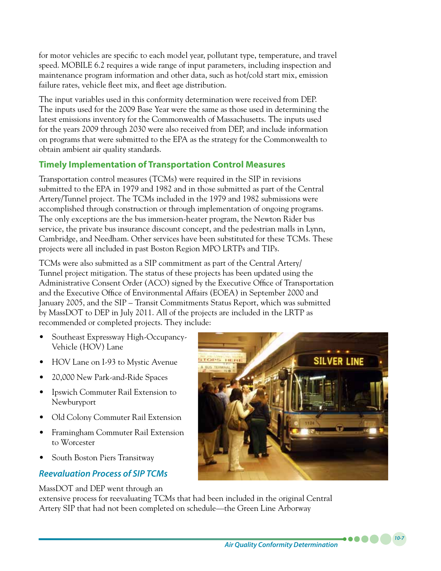for motor vehicles are specific to each model year, pollutant type, temperature, and travel speed. MOBILE 6.2 requires a wide range of input parameters, including inspection and maintenance program information and other data, such as hot/cold start mix, emission failure rates, vehicle fleet mix, and fleet age distribution.

The input variables used in this conformity determination were received from DEP. The inputs used for the 2009 Base Year were the same as those used in determining the latest emissions inventory for the Commonwealth of Massachusetts. The inputs used for the years 2009 through 2030 were also received from DEP, and include information on programs that were submitted to the EPA as the strategy for the Commonwealth to obtain ambient air quality standards.

# **Timely Implementation of Transportation Control Measures**

Transportation control measures (TCMs) were required in the SIP in revisions submitted to the EPA in 1979 and 1982 and in those submitted as part of the Central Artery/Tunnel project. The TCMs included in the 1979 and 1982 submissions were accomplished through construction or through implementation of ongoing programs. The only exceptions are the bus immersion-heater program, the Newton Rider bus service, the private bus insurance discount concept, and the pedestrian malls in Lynn, Cambridge, and Needham. Other services have been substituted for these TCMs. These projects were all included in past Boston Region MPO LRTPs and TIPs.

TCMs were also submitted as a SIP commitment as part of the Central Artery/ Tunnel project mitigation. The status of these projects has been updated using the Administrative Consent Order (ACO) signed by the Executive Office of Transportation and the Executive Office of Environmental Affairs (EOEA) in September 2000 and January 2005, and the SIP – Transit Commitments Status Report, which was submitted by MassDOT to DEP in July 2011. All of the projects are included in the LRTP as recommended or completed projects. They include:

- Southeast Expressway High-Occupancy-Vehicle (HOV) Lane
- HOV Lane on I-93 to Mystic Avenue
- 20,000 New Park-and-Ride Spaces
- Ipswich Commuter Rail Extension to Newburyport
- Old Colony Commuter Rail Extension
- • Framingham Commuter Rail Extension to Worcester
- South Boston Piers Transitway

# *Reevaluation Process of SIP TCMs*

MassDOT and DEP went through an



extensive process for reevaluating TCMs that had been included in the original Central Artery SIP that had not been completed on schedule—the Green Line Arborway

*Air Quality Conformity Determination*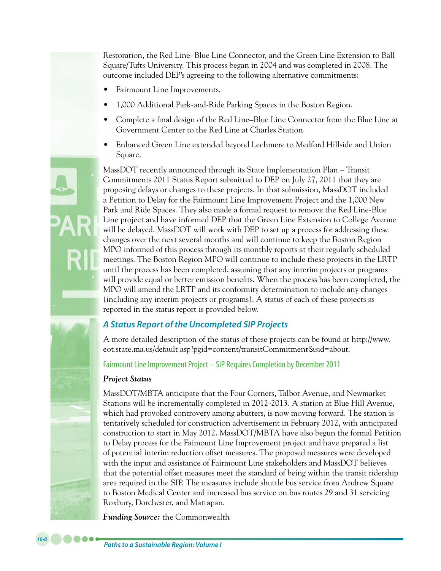Restoration, the Red Line–Blue Line Connector, and the Green Line Extension to Ball Square/Tufts University. This process began in 2004 and was completed in 2008. The outcome included DEP's agreeing to the following alternative commitments:

- Fairmount Line Improvements.
- 1,000 Additional Park-and-Ride Parking Spaces in the Boston Region.
- Complete a final design of the Red Line–Blue Line Connector from the Blue Line at Government Center to the Red Line at Charles Station.
- Enhanced Green Line extended beyond Lechmere to Medford Hillside and Union Square.

MassDOT recently announced through its State Implementation Plan – Transit Commitments 2011 Status Report submitted to DEP on July 27, 2011 that they are proposing delays or changes to these projects. In that submission, MassDOT included a Petition to Delay for the Fairmount Line Improvement Project and the 1,000 New Park and Ride Spaces. They also made a formal request to remove the Red Line-Blue Line project and have informed DEP that the Green Line Extension to College Avenue will be delayed. MassDOT will work with DEP to set up a process for addressing these changes over the next several months and will continue to keep the Boston Region MPO informed of this process through its monthly reports at their regularly scheduled meetings. The Boston Region MPO will continue to include these projects in the LRTP until the process has been completed, assuming that any interim projects or programs will provide equal or better emission benefits. When the process has been completed, the MPO will amend the LRTP and its conformity determination to include any changes (including any interim projects or programs). A status of each of these projects as reported in the status report is provided below.

# *A Status Report of the Uncompleted SIP Projects*

A more detailed description of the status of these projects can be found at http://www. eot.state.ma.us/default.asp?pgid=content/transitCommitment&sid=about.

Fairmount Line Improvement Project – SIP Requires Completion by December 2011

### *Project Status*

MassDOT/MBTA anticipate that the Four Corners, Talbot Avenue, and Newmarket Stations will be incrementally completed in 2012-2013. A station at Blue Hill Avenue, which had provoked controvery among abutters, is now moving forward. The station is tentatively scheduled for construction advertisement in February 2012, with anticipated construction to start in May 2012. MassDOT/MBTA have also begun the formal Petition to Delay process for the Faimount Line Improvement project and have prepared a list of potential interim reduction offset measures. The proposed measures were developed with the input and assistance of Fairmount Line stakeholders and MassDOT believes that the potential offset measures meet the standard of being within the transit ridership area required in the SIP. The measures include shuttle bus service from Andrew Square to Boston Medical Center and increased bus service on bus routes 29 and 31 servicing Roxbury, Dorchester, and Mattapan.

*Funding Source:* the Commonwealth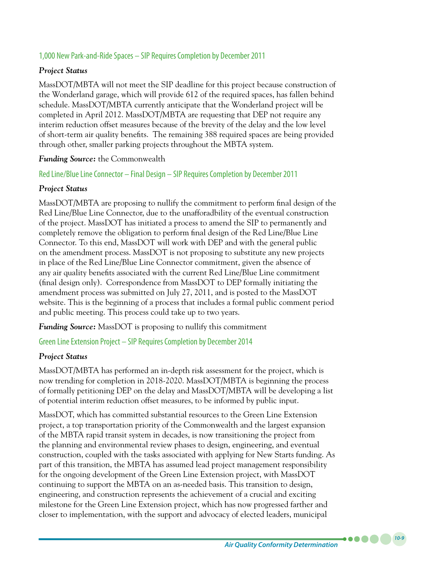### 1,000 New Park-and-Ride Spaces – SIP Requires Completion by December 2011

### *Project Status*

MassDOT/MBTA will not meet the SIP deadline for this project because construction of the Wonderland garage, which will provide 612 of the required spaces, has fallen behind schedule. MassDOT/MBTA currently anticipate that the Wonderland project will be completed in April 2012. MassDOT/MBTA are requesting that DEP not require any interim reduction offset measures because of the brevity of the delay and the low level of short-term air quality benefits. The remaining 388 required spaces are being provided through other, smaller parking projects throughout the MBTA system.

### *Funding Source:* the Commonwealth

Red Line/Blue Line Connector – Final Design – SIP Requires Completion by December 2011

### *Project Status*

MassDOT/MBTA are proposing to nullify the commitment to perform final design of the Red Line/Blue Line Connector, due to the unafforadbility of the eventual construction of the project. MassDOT has initiated a process to amend the SIP to permanently and completely remove the obligation to perform final design of the Red Line/Blue Line Connector. To this end, MassDOT will work with DEP and with the general public on the amendment process. MassDOT is not proposing to substitute any new projects in place of the Red Line/Blue Line Connector commitment, given the absence of any air quality benefits associated with the current Red Line/Blue Line commitment (final design only). Correspondence from MassDOT to DEP formally initiating the amendment process was submitted on July 27, 2011, and is posted to the MassDOT website. This is the beginning of a process that includes a formal public comment period and public meeting. This process could take up to two years.

*Funding Source:* MassDOT is proposing to nullify this commitment

Green Line Extension Project – SIP Requires Completion by December 2014

### *Project Status*

MassDOT/MBTA has performed an in-depth risk assessment for the project, which is now trending for completion in 2018-2020. MassDOT/MBTA is beginning the process of formally petitioning DEP on the delay and MassDOT/MBTA will be developing a list of potential interim reduction offset measures, to be informed by public input.

MassDOT, which has committed substantial resources to the Green Line Extension project, a top transportation priority of the Commonwealth and the largest expansion of the MBTA rapid transit system in decades, is now transitioning the project from the planning and environmental review phases to design, engineering, and eventual construction, coupled with the tasks associated with applying for New Starts funding. As part of this transition, the MBTA has assumed lead project management responsibility for the ongoing development of the Green Line Extension project, with MassDOT continuing to support the MBTA on an as-needed basis. This transition to design, engineering, and construction represents the achievement of a crucial and exciting milestone for the Green Line Extension project, which has now progressed farther and closer to implementation, with the support and advocacy of elected leaders, municipal

. . . .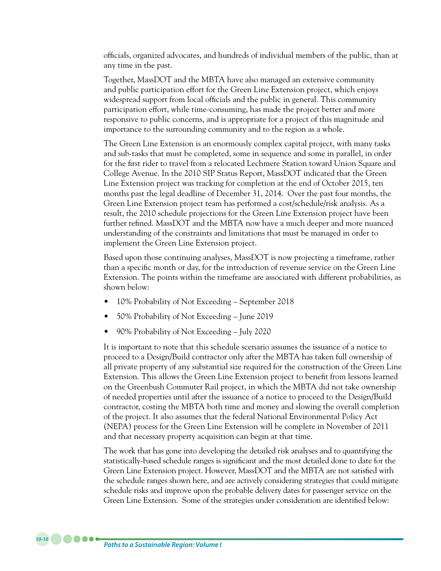officials, organized advocates, and hundreds of individual members of the public, than at any time in the past.

Together, MassDOT and the MBTA have also managed an extensive community and public participation effort for the Green Line Extension project, which enjoys widespread support from local officials and the public in general. This community participation effort, while time-consuming, has made the project better and more responsive to public concerns, and is appropriate for a project of this magnitude and importance to the surrounding community and to the region as a whole.

The Green Line Extension is an enormously complex capital project, with many tasks and sub-tasks that must be completed, some in sequence and some in parallel, in order for the first rider to travel from a relocated Lechmere Station toward Union Square and College Avenue. In the 2010 SIP Status Report, MassDOT indicated that the Green Line Extension project was tracking for completion at the end of October 2015, ten months past the legal deadline of December 31, 2014. Over the past four months, the Green Line Extension project team has performed a cost/schedule/risk analysis. As a result, the 2010 schedule projections for the Green Line Extension project have been further refined. MassDOT and the MBTA now have a much deeper and more nuanced understanding of the constraints and limitations that must be managed in order to implement the Green Line Extension project.

Based upon those continuing analyses, MassDOT is now projecting a timeframe, rather than a specific month or day, for the introduction of revenue service on the Green Line Extension. The points within the timeframe are associated with different probabilities, as shown below:

- 10% Probability of Not Exceeding September 2018
- 50% Probability of Not Exceeding June 2019
- 90% Probability of Not Exceeding July 2020

It is important to note that this schedule scenario assumes the issuance of a notice to proceed to a Design/Build contractor only after the MBTA has taken full ownership of all private property of any substantial size required for the construction of the Green Line Extension. This allows the Green Line Extension project to benefit from lessons learned on the Greenbush Commuter Rail project, in which the MBTA did not take ownership of needed properties until after the issuance of a notice to proceed to the Design/Build contractor, costing the MBTA both time and money and slowing the overall completion of the project. It also assumes that the federal National Environmental Policy Act (NEPA) process for the Green Line Extension will be complete in November of 2011 and that necessary property acquisition can begin at that time.

The work that has gone into developing the detailed risk analyses and to quantifying the statistically-based schedule ranges is significant and the most detailed done to date for the Green Line Extension project. However, MassDOT and the MBTA are not satisfied with the schedule ranges shown here, and are actively considering strategies that could mitigate schedule risks and improve upon the probable delivery dates for passenger service on the Green Line Extension. Some of the strategies under consideration are identified below: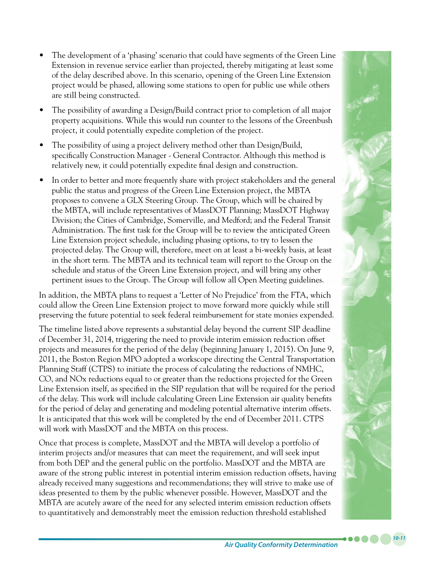- The development of a 'phasing' scenario that could have segments of the Green Line Extension in revenue service earlier than projected, thereby mitigating at least some of the delay described above. In this scenario, opening of the Green Line Extension project would be phased, allowing some stations to open for public use while others are still being constructed.
- The possibility of awarding a Design/Build contract prior to completion of all major property acquisitions. While this would run counter to the lessons of the Greenbush project, it could potentially expedite completion of the project.
- The possibility of using a project delivery method other than Design/Build, specifically Construction Manager - General Contractor. Although this method is relatively new, it could potentially expedite final design and construction.
- In order to better and more frequently share with project stakeholders and the general public the status and progress of the Green Line Extension project, the MBTA proposes to convene a GLX Steering Group. The Group, which will be chaired by the MBTA, will include representatives of MassDOT Planning; MassDOT Highway Division; the Cities of Cambridge, Somerville, and Medford; and the Federal Transit Administration. The first task for the Group will be to review the anticipated Green Line Extension project schedule, including phasing options, to try to lessen the projected delay. The Group will, therefore, meet on at least a bi-weekly basis, at least in the short term. The MBTA and its technical team will report to the Group on the schedule and status of the Green Line Extension project, and will bring any other pertinent issues to the Group. The Group will follow all Open Meeting guidelines.

In addition, the MBTA plans to request a 'Letter of No Prejudice' from the FTA, which could allow the Green Line Extension project to move forward more quickly while still preserving the future potential to seek federal reimbursement for state monies expended.

The timeline listed above represents a substantial delay beyond the current SIP deadline of December 31, 2014, triggering the need to provide interim emission reduction offset projects and measures for the period of the delay (beginning January 1, 2015). On June 9, 2011, the Boston Region MPO adopted a workscope directing the Central Transportation Planning Staff (CTPS) to initiate the process of calculating the reductions of NMHC, CO, and NOx reductions equal to or greater than the reductions projected for the Green Line Extension itself, as specified in the SIP regulation that will be required for the period of the delay. This work will include calculating Green Line Extension air quality benefits for the period of delay and generating and modeling potential alternative interim offsets. It is anticipated that this work will be completed by the end of December 2011. CTPS will work with MassDOT and the MBTA on this process.

Once that process is complete, MassDOT and the MBTA will develop a portfolio of interim projects and/or measures that can meet the requirement, and will seek input from both DEP and the general public on the portfolio. MassDOT and the MBTA are aware of the strong public interest in potential interim emission reduction offsets, having already received many suggestions and recommendations; they will strive to make use of ideas presented to them by the public whenever possible. However, MassDOT and the MBTA are acutely aware of the need for any selected interim emission reduction offsets to quantitatively and demonstrably meet the emission reduction threshold established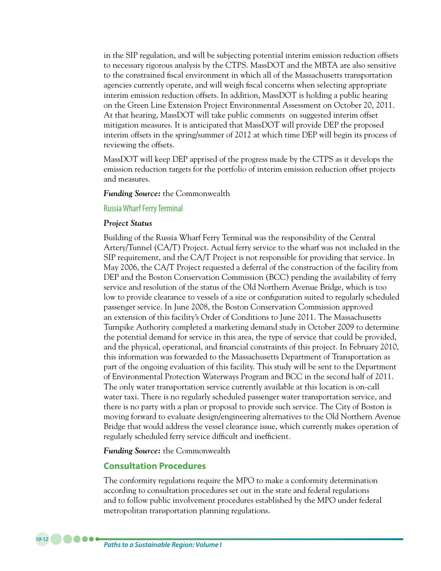in the SIP regulation, and will be subjecting potential interim emission reduction offsets to necessary rigorous analysis by the CTPS. MassDOT and the MBTA are also sensitive to the constrained fiscal environment in which all of the Massachusetts transportation agencies currently operate, and will weigh fiscal concerns when selecting appropriate interim emission reduction offsets. In addition, MassDOT is holding a public hearing on the Green Line Extension Project Environmental Assessment on October 20, 2011. At that hearing, MassDOT will take public comments on suggested interim offset mitigation measures. It is anticipated that MassDOT will provide DEP the proposed interim offsets in the spring/summer of 2012 at which time DEP will begin its process of reviewing the offsets.

MassDOT will keep DEP apprised of the progress made by the CTPS as it develops the emission reduction targets for the portfolio of interim emission reduction offset projects and measures.

*Funding Source:* the Commonwealth

#### Russia Wharf Ferry Terminal

#### *Project Status*

Building of the Russia Wharf Ferry Terminal was the responsibility of the Central Artery/Tunnel (CA/T) Project. Actual ferry service to the wharf was not included in the SIP requirement, and the CA/T Project is not responsible for providing that service. In May 2006, the CA/T Project requested a deferral of the construction of the facility from DEP and the Boston Conservation Commission (BCC) pending the availability of ferry service and resolution of the status of the Old Northern Avenue Bridge, which is too low to provide clearance to vessels of a size or configuration suited to regularly scheduled passenger service. In June 2008, the Boston Conservation Commission approved an extension of this facility's Order of Conditions to June 2011. The Massachusetts Turnpike Authority completed a marketing demand study in October 2009 to determine the potential demand for service in this area, the type of service that could be provided, and the physical, operational, and financial constraints of this project. In February 2010, this information was forwarded to the Massachusetts Department of Transportation as part of the ongoing evaluation of this facility. This study will be sent to the Department of Environmental Protection Waterways Program and BCC in the second half of 2011. The only water transportation service currently available at this location is on-call water taxi. There is no regularly scheduled passenger water transportation service, and there is no party with a plan or proposal to provide such service. The City of Boston is moving forward to evaluate design/engineering alternatives to the Old Northern Avenue Bridge that would address the vessel clearance issue, which currently makes operation of regularly scheduled ferry service difficult and inefficient.

*Funding Source:* the Commonwealth

### **Consultation Procedures**

The conformity regulations require the MPO to make a conformity determination according to consultation procedures set out in the state and federal regulations and to follow public involvement procedures established by the MPO under federal metropolitan transportation planning regulations.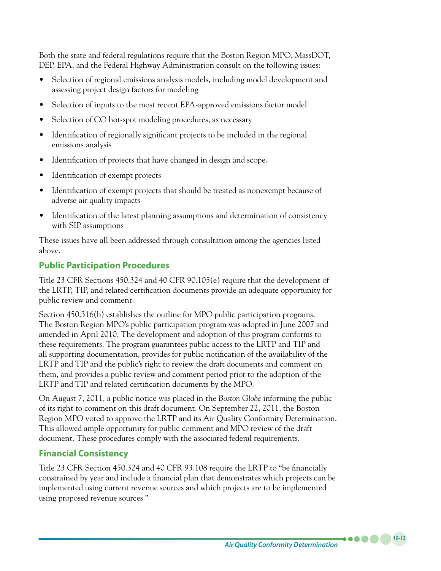Both the state and federal regulations require that the Boston Region MPO, MassDOT, DEP, EPA, and the Federal Highway Administration consult on the following issues:

- Selection of regional emissions analysis models, including model development and assessing project design factors for modeling
- Selection of inputs to the most recent EPA-approved emissions factor model
- Selection of CO hot-spot modeling procedures, as necessary
- Identification of regionally significant projects to be included in the regional emissions analysis
- Identification of projects that have changed in design and scope.
- Identification of exempt projects
- • Identification of exempt projects that should be treated as nonexempt because of adverse air quality impacts
- Identification of the latest planning assumptions and determination of consistency with SIP assumptions

These issues have all been addressed through consultation among the agencies listed above.

# **Public Participation Procedures**

Title 23 CFR Sections 450.324 and 40 CFR 90.105(e) require that the development of the LRTP, TIP, and related certification documents provide an adequate opportunity for public review and comment.

Section 450.316(b) establishes the outline for MPO public participation programs. The Boston Region MPO's public participation program was adopted in June 2007 and amended in April 2010. The development and adoption of this program conforms to these requirements. The program guarantees public access to the LRTP and TIP and all supporting documentation, provides for public notification of the availability of the LRTP and TIP and the public's right to review the draft documents and comment on them, and provides a public review and comment period prior to the adoption of the LRTP and TIP and related certification documents by the MPO.

On August 7, 2011, a public notice was placed in the *Boston Globe* informing the public of its right to comment on this draft document. On September 22, 2011, the Boston Region MPO voted to approve the LRTP and its Air Quality Conformity Determination. This allowed ample opportunity for public comment and MPO review of the draft document. These procedures comply with the associated federal requirements.

# **Financial Consistency**

Title 23 CFR Section 450.324 and 40 CFR 93.108 require the LRTP to "be financially constrained by year and include a financial plan that demonstrates which projects can be implemented using current revenue sources and which projects are to be implemented using proposed revenue sources."

*Air Quality Conformity Determination*

*10-13*

 $\bullet\bullet\bullet\bullet$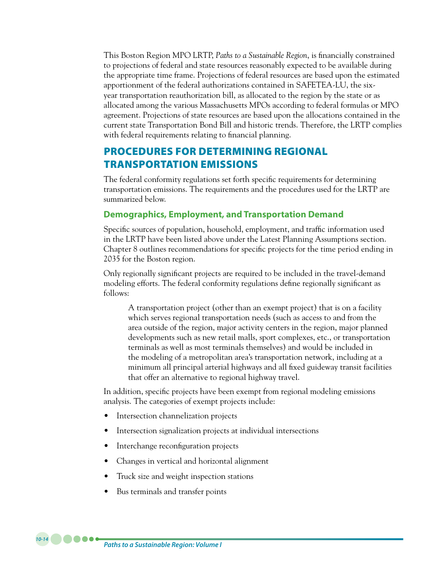This Boston Region MPO LRTP, *Paths to a Sustainable Region*, is financially constrained to projections of federal and state resources reasonably expected to be available during the appropriate time frame. Projections of federal resources are based upon the estimated apportionment of the federal authorizations contained in SAFETEA-LU, the sixyear transportation reauthorization bill, as allocated to the region by the state or as allocated among the various Massachusetts MPOs according to federal formulas or MPO agreement. Projections of state resources are based upon the allocations contained in the current state Transportation Bond Bill and historic trends. Therefore, the LRTP complies with federal requirements relating to financial planning.

# PROCEDURES FOR DETERMINING REGIONAL TRANSPORTATION EMISSIONS

The federal conformity regulations set forth specific requirements for determining transportation emissions. The requirements and the procedures used for the LRTP are summarized below.

### **Demographics, Employment, and Transportation Demand**

Specific sources of population, household, employment, and traffic information used in the LRTP have been listed above under the Latest Planning Assumptions section. Chapter 8 outlines recommendations for specific projects for the time period ending in 2035 for the Boston region.

Only regionally significant projects are required to be included in the travel-demand modeling efforts. The federal conformity regulations define regionally significant as follows:

A transportation project (other than an exempt project) that is on a facility which serves regional transportation needs (such as access to and from the area outside of the region, major activity centers in the region, major planned developments such as new retail malls, sport complexes, etc., or transportation terminals as well as most terminals themselves) and would be included in the modeling of a metropolitan area's transportation network, including at a minimum all principal arterial highways and all fixed guideway transit facilities that offer an alternative to regional highway travel.

In addition, specific projects have been exempt from regional modeling emissions analysis. The categories of exempt projects include:

- Intersection channelization projects
- Intersection signalization projects at individual intersections
- Interchange reconfiguration projects
- Changes in vertical and horizontal alignment
- Truck size and weight inspection stations
- Bus terminals and transfer points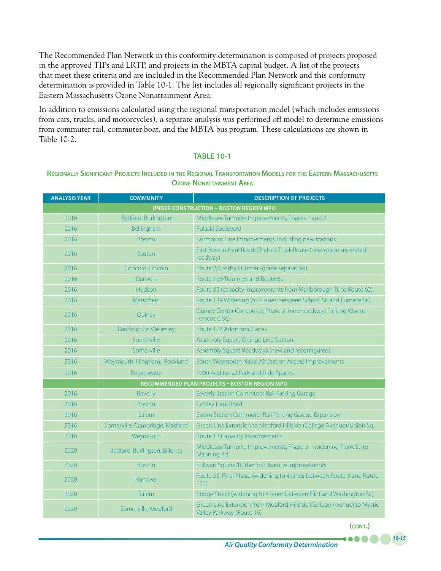The Recommended Plan Network in this conformity determination is composed of projects proposed in the approved TIPs and LRTP, and projects in the MBTA capital budget. A list of the projects that meet these criteria and are included in the Recommended Plan Network and this conformity determination is provided in Table 10-1. The list includes all regionally significant projects in the Eastern Massachusetts Ozone Nonattainment Area.

In addition to emissions calculated using the regional transportation model (which includes emissions from cars, trucks, and motorcycles), a separate analysis was performed off model to determine emissions from commuter rail, commuter boat, and the MBTA bus program. These calculations are shown in Table 10-2.

#### **TABLE 10-1**

#### **Regionally Significant Projects Included in the Regional Transportation Models for the Eastern Massachusetts Ozone Nonattainment Area**

| <b>ANALYSIS YEAR</b>                          | <b>COMMUNITY</b>               | <b>DESCRIPTION OF PROJECTS</b>                                                                     |  |  |
|-----------------------------------------------|--------------------------------|----------------------------------------------------------------------------------------------------|--|--|
| <b>UNDER CONSTRUCTION - BOSTON REGION MPO</b> |                                |                                                                                                    |  |  |
| 2016                                          | Bedford, Burlington            | Middlesex Turnpike Improvements, Phases 1 and 2                                                    |  |  |
| 2016                                          | Bellingham                     | Pulaski Boulevard                                                                                  |  |  |
| 2016                                          | <b>Boston</b>                  | Fairmount Line Improvements, including new stations                                                |  |  |
| 2016                                          | <b>Boston</b>                  | East Boston Haul Road/Chelsea Truck Route (new grade separated<br>roadway)                         |  |  |
| 2016                                          | Concord, Lincoln               | Route 2/Crosby's Corner (grade separation)                                                         |  |  |
| 2016                                          | <b>Danvers</b>                 | Route 128/Route 35 and Route 62                                                                    |  |  |
| 2016                                          | Hudson                         | Route 85 (capacity improvements from Marlborough TL to Route 62)                                   |  |  |
| 2016                                          | Marshfield                     | Route 139 Widening (to 4 lanes between School St. and Furnace St.)                                 |  |  |
| 2016                                          | Quincy                         | Quincy Center Concourse, Phase 2 (new roadway: Parking Way to<br>Hancock) St.)                     |  |  |
| 2016                                          | Randolph to Wellesley          | Route 128 Additional Lanes                                                                         |  |  |
| 2016                                          | Somerville                     | Assembly Square Orange Line Station                                                                |  |  |
| 2016                                          | Somerville                     | Assembly Square Roadways (new and reconfigured)                                                    |  |  |
| 2016                                          | Weymouth, Hingham, Rockland    | South Weymouth Naval Air Station Access Improvements                                               |  |  |
| 2016                                          | Regionwide                     | 1000 Additional Park-and-Ride Spaces                                                               |  |  |
|                                               |                                | <b>RECOMMENDED PLAN PROJECTS - BOSTON REGION MPO</b>                                               |  |  |
| 2016                                          | <b>Beverly</b>                 | Beverly Station Commuter Rail Parking Garage                                                       |  |  |
| 2016                                          | <b>Boston</b>                  | Conley Haul Road                                                                                   |  |  |
| 2016                                          | Salem                          | Salem Station Commuter Rail Parking Garage Expansion                                               |  |  |
| 2016                                          | Somerville, Cambridge, Medford | Green Line Extension to Medford Hillside (College Avenue)/Union Sq.                                |  |  |
| 2016                                          | Weymouth                       | Route 18 Capacity Improvements                                                                     |  |  |
| 2020                                          | Bedford, Burlington, Billerica | Middlesex Turnpike Improvements, Phase 3 - widening Plank St. to<br>Manning Rd.                    |  |  |
| 2020                                          | <b>Boston</b>                  | Sullivan Square/Rutherford Avenue Improvements                                                     |  |  |
| 2020                                          | Hanover                        | Route 53, Final Phase (widening to 4 lanes between Route 3 and Route<br>123)                       |  |  |
| 2020                                          | Salem                          | Bridge Street (widening to 4 lanes between Flint and Washington St.)                               |  |  |
| 2020                                          | Somerville, Medford            | Green Line Extension from Medford Hillside (College Avenue) to Mystic<br>Valley Parkway (Route 16) |  |  |

**(cont.)**

 $\bullet$   $\bullet$   $\bullet$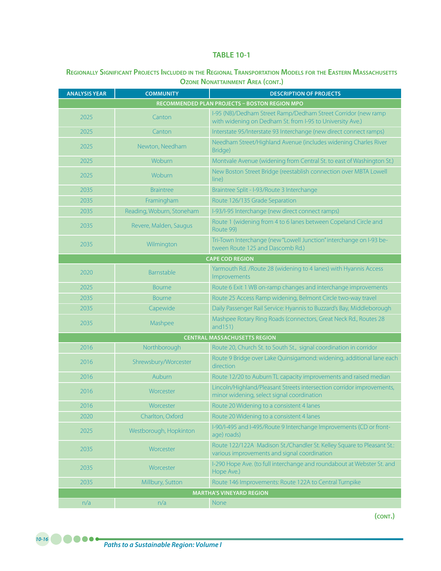### **Regionally Significant Projects Included in the Regional Transportation Models for the Eastern Massachusetts Ozone Nonattainment Area (cont.)**

| <b>ANALYSIS YEAR</b>                                 | <b>COMMUNITY</b>          | <b>DESCRIPTION OF PROJECTS</b>                                                                                             |  |  |  |
|------------------------------------------------------|---------------------------|----------------------------------------------------------------------------------------------------------------------------|--|--|--|
| <b>RECOMMENDED PLAN PROJECTS - BOSTON REGION MPO</b> |                           |                                                                                                                            |  |  |  |
| 2025                                                 | Canton                    | I-95 (NB)/Dedham Street Ramp/Dedham Street Corridor (new ramp<br>with widening on Dedham St. from I-95 to University Ave.) |  |  |  |
| 2025                                                 | Canton                    | Interstate 95/Interstate 93 Interchange (new direct connect ramps)                                                         |  |  |  |
| 2025                                                 | Newton, Needham           | Needham Street/Highland Avenue (includes widening Charles River<br>Bridge)                                                 |  |  |  |
| 2025                                                 | Woburn                    | Montvale Avenue (widening from Central St. to east of Washington St.)                                                      |  |  |  |
| 2025                                                 | Woburn                    | New Boston Street Bridge (reestablish connection over MBTA Lowell<br>line)                                                 |  |  |  |
| 2035                                                 | <b>Braintree</b>          | Braintree Split - I-93/Route 3 Interchange                                                                                 |  |  |  |
| 2035                                                 | Framingham                | Route 126/135 Grade Separation                                                                                             |  |  |  |
| 2035                                                 | Reading, Woburn, Stoneham | I-93/I-95 Interchange (new direct connect ramps)                                                                           |  |  |  |
| 2035                                                 | Revere, Malden, Saugus    | Route 1 (widening from 4 to 6 lanes between Copeland Circle and<br>Route 99)                                               |  |  |  |
| 2035                                                 | Wilmington                | Tri-Town Interchange (new "Lowell Junction" interchange on I-93 be-<br>tween Route 125 and Dascomb Rd.)                    |  |  |  |
|                                                      |                           | <b>CAPE COD REGION</b>                                                                                                     |  |  |  |
| 2020                                                 | Barnstable                | Yarmouth Rd. /Route 28 (widening to 4 lanes) with Hyannis Access<br>Improvements                                           |  |  |  |
| 2025                                                 | <b>Bourne</b>             | Route 6 Exit 1 WB on-ramp changes and interchange improvements                                                             |  |  |  |
| 2035                                                 | <b>Bourne</b>             | Route 25 Access Ramp widening, Belmont Circle two-way travel                                                               |  |  |  |
| 2035                                                 | Capewide                  | Daily Passenger Rail Service: Hyannis to Buzzard's Bay, Middleborough                                                      |  |  |  |
| 2035                                                 | Mashpee                   | Mashpee Rotary Ring Roads (connectors, Great Neck Rd., Routes 28<br>and $151$ )                                            |  |  |  |
| <b>CENTRAL MASSACHUSETTS REGION</b>                  |                           |                                                                                                                            |  |  |  |
| 2016                                                 | Northborough              | Route 20, Church St. to South St., signal coordination in corridor                                                         |  |  |  |
| 2016                                                 | Shrewsbury/Worcester      | Route 9 Bridge over Lake Quinsigamond: widening, additional lane each<br>direction                                         |  |  |  |
| 2016                                                 | Auburn                    | Route 12/20 to Auburn TL capacity improvements and raised median                                                           |  |  |  |
| 2016                                                 | Worcester                 | Lincoln/Highland/Pleasant Streets intersection corridor improvements,<br>minor widening, select signal coordination        |  |  |  |
| 2016                                                 | Worcester                 | Route 20 Widening to a consistent 4 lanes                                                                                  |  |  |  |
| 2020                                                 | Charlton, Oxford          | Route 20 Widening to a consistent 4 lanes                                                                                  |  |  |  |
| 2025                                                 | Westborough, Hopkinton    | I-90/I-495 and I-495/Route 9 Interchange Improvements (CD or front-<br>age) roads)                                         |  |  |  |
| 2035                                                 | Worcester                 | Route 122/122A Madison St./Chandler St. Kelley Square to Pleasant St.:<br>various improvements and signal coordination     |  |  |  |
| 2035                                                 | Worcester                 | I-290 Hope Ave. (to full interchange and roundabout at Webster St. and<br>Hope Ave.)                                       |  |  |  |
| 2035                                                 | Millbury, Sutton          | Route 146 Improvements: Route 122A to Central Turnpike                                                                     |  |  |  |
|                                                      |                           | <b>MARTHA'S VINEYARD REGION</b>                                                                                            |  |  |  |
| n/a                                                  | n/a                       | <b>None</b>                                                                                                                |  |  |  |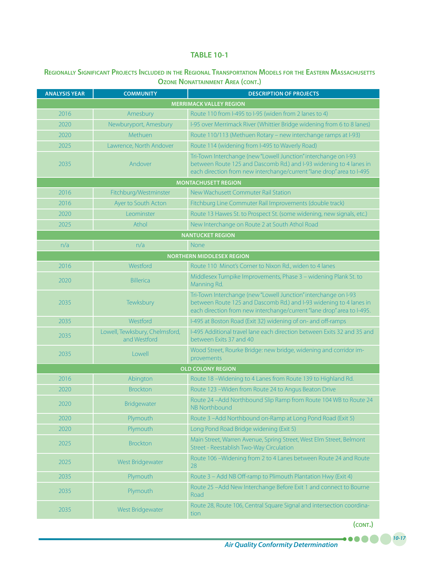### **Regionally Significant Projects Included in the Regional Transportation Models for the Eastern Massachusetts Ozone Nonattainment Area (cont.)**

| <b>ANALYSIS YEAR</b>           | <b>COMMUNITY</b>                               | <b>DESCRIPTION OF PROJECTS</b>                                                                                                                                                                                  |  |  |  |
|--------------------------------|------------------------------------------------|-----------------------------------------------------------------------------------------------------------------------------------------------------------------------------------------------------------------|--|--|--|
| <b>MERRIMACK VALLEY REGION</b> |                                                |                                                                                                                                                                                                                 |  |  |  |
| 2016                           | Amesbury                                       | Route 110 from I-495 to I-95 (widen from 2 lanes to 4)                                                                                                                                                          |  |  |  |
| 2020                           | Newburyport, Amesbury                          | I-95 over Merrimack River (Whittier Bridge widening from 6 to 8 lanes)                                                                                                                                          |  |  |  |
| 2020                           | Methuen                                        | Route 110/113 (Methuen Rotary – new interchange ramps at I-93)                                                                                                                                                  |  |  |  |
| 2025                           | Lawrence, North Andover                        | Route 114 (widening from I-495 to Waverly Road)                                                                                                                                                                 |  |  |  |
| 2035                           | Andover                                        | Tri-Town Interchange (new "Lowell Junction" interchange on I-93<br>between Route 125 and Dascomb Rd.) and I-93 widening to 4 lanes in<br>each direction from new interchange/current "lane drop" area to I-495  |  |  |  |
|                                |                                                | <b>MONTACHUSETT REGION</b>                                                                                                                                                                                      |  |  |  |
| 2016                           | Fitchburg/Westminster                          | New Wachusett Commuter Rail Station                                                                                                                                                                             |  |  |  |
| 2016                           | Ayer to South Acton                            | Fitchburg Line Commuter Rail Improvements (double track)                                                                                                                                                        |  |  |  |
| 2020                           | Leominster                                     | Route 13 Hawes St. to Prospect St. (some widening, new signals, etc.)                                                                                                                                           |  |  |  |
| 2025                           | Athol                                          | New Interchange on Route 2 at South Athol Road                                                                                                                                                                  |  |  |  |
|                                |                                                | <b>NANTUCKET REGION</b>                                                                                                                                                                                         |  |  |  |
| n/a                            | n/a                                            | None                                                                                                                                                                                                            |  |  |  |
|                                |                                                | <b>NORTHERN MIDDLESEX REGION</b>                                                                                                                                                                                |  |  |  |
| 2016                           | Westford                                       | Route 110 Minot's Corner to Nixon Rd., widen to 4 lanes                                                                                                                                                         |  |  |  |
| 2020                           | <b>Billerica</b>                               | Middlesex Turnpike Improvements, Phase 3 - widening Plank St. to<br>Manning Rd.                                                                                                                                 |  |  |  |
| 2035                           | Tewksbury                                      | Tri-Town Interchange (new "Lowell Junction" interchange on I-93<br>between Route 125 and Dascomb Rd.) and I-93 widening to 4 lanes in<br>each direction from new interchange/current "lane drop" area to I-495. |  |  |  |
| 2035                           | Westford                                       | I-495 at Boston Road (Exit 32) widening of on- and off-ramps                                                                                                                                                    |  |  |  |
| 2035                           | Lowell, Tewksbury, Chelmsford,<br>and Westford | I-495 Additional travel lane each direction between Exits 32 and 35 and<br>between Exits 37 and 40                                                                                                              |  |  |  |
| 2035                           | Lowell                                         | Wood Street, Rourke Bridge: new bridge, widening and corridor im-<br>provements                                                                                                                                 |  |  |  |
|                                |                                                | <b>OLD COLONY REGION</b>                                                                                                                                                                                        |  |  |  |
| 2016                           | Abington                                       | Route 18 -Widening to 4 Lanes from Route 139 to Highland Rd.                                                                                                                                                    |  |  |  |
| 2020                           | <b>Brockton</b>                                | Route 123 - Widen from Route 24 to Angus Beaton Drive                                                                                                                                                           |  |  |  |
| 2020                           | Bridgewater                                    | Route 24 - Add Northbound Slip Ramp from Route 104 WB to Route 24<br>NB Northbound                                                                                                                              |  |  |  |
| 2020                           | Plymouth                                       | Route 3-Add Northbound on-Ramp at Long Pond Road (Exit 5)                                                                                                                                                       |  |  |  |
| 2020                           | Plymouth                                       | Long Pond Road Bridge widening (Exit 5)                                                                                                                                                                         |  |  |  |
| 2025                           | <b>Brockton</b>                                | Main Street, Warren Avenue, Spring Street, West Elm Street, Belmont<br>Street - Reestablish Two-Way Circulation                                                                                                 |  |  |  |
| 2025                           | West Bridgewater                               | Route 106 - Widening from 2 to 4 Lanes between Route 24 and Route<br>28                                                                                                                                         |  |  |  |
| 2035                           | Plymouth                                       | Route 3 - Add NB Off-ramp to Plimouth Plantation Hwy (Exit 4)                                                                                                                                                   |  |  |  |
| 2035                           | Plymouth                                       | Route 25 -Add New Interchange Before Exit 1 and connect to Bourne<br>Road                                                                                                                                       |  |  |  |
| 2035                           | West Bridgewater                               | Route 28, Route 106, Central Square Signal and intersection coordina-<br>tion                                                                                                                                   |  |  |  |

**(cont.)**

.....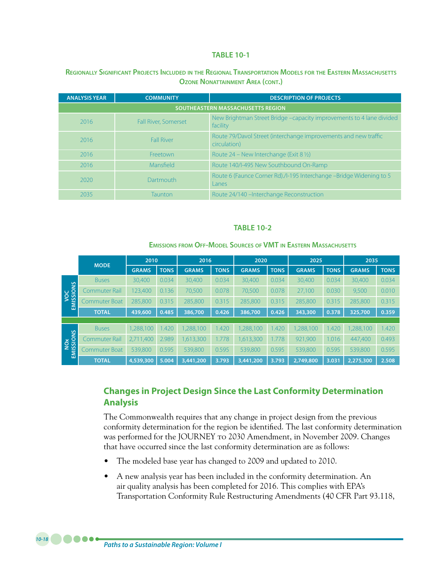#### **Regionally Significant Projects Included in the Regional Transportation Models for the Eastern Massachusetts Ozone Nonattainment Area (cont.)**

| <b>ANALYSIS YEAR</b>                     | <b>COMMUNITY</b>            | <b>DESCRIPTION OF PROJECTS</b>                                                   |  |  |  |
|------------------------------------------|-----------------------------|----------------------------------------------------------------------------------|--|--|--|
| <b>SOUTHEASTERN MASSACHUSETTS REGION</b> |                             |                                                                                  |  |  |  |
| 2016                                     | <b>Fall River, Somerset</b> | New Brightman Street Bridge -capacity improvements to 4 lane divided<br>facility |  |  |  |
| 2016                                     | <b>Fall River</b>           | Route 79/Davol Street (interchange improvements and new traffic<br>circulation)  |  |  |  |
| 2016                                     | Freetown                    | Route $24$ – New Interchange (Exit 8 $\frac{1}{2}$ )                             |  |  |  |
| 2016                                     | Mansfield                   | Route 140/I-495 New Southbound On-Ramp                                           |  |  |  |
| 2020                                     | Dartmouth                   | Route 6 (Faunce Corner Rd)./I-195 Interchange -Bridge Widening to 5<br>Lanes     |  |  |  |
| 2035                                     | Taunton                     | Route 24/140 - Interchange Reconstruction                                        |  |  |  |

#### **TABLE 10-2**

#### **Emissions from Off-Model Sources of VMT in Eastern Massachusetts**

|                        | <b>MODE</b>          | 2010         |             | 2016         |             | 2020         |             | 2025         |             | 2035         |             |
|------------------------|----------------------|--------------|-------------|--------------|-------------|--------------|-------------|--------------|-------------|--------------|-------------|
|                        |                      | <b>GRAMS</b> | <b>TONS</b> | <b>GRAMS</b> | <b>TONS</b> | <b>GRAMS</b> | <b>TONS</b> | <b>GRAMS</b> | <b>TONS</b> | <b>GRAMS</b> | <b>TONS</b> |
|                        | <b>Buses</b>         | 30,400       | 0.034       | 30,400       | 0.034       | 30,400       | 0.034       | 30,400       | 0.034       | 30,400       | 0.034       |
| VOC<br>ISSIONS         | Commuter Rail        | 123,400      | 0.136       | 70,500       | 0.078       | 70,500       | 0.078       | 27,100       | 0.030       | 9,500        | 0.010       |
| EMISSI                 | Commuter Boat        | 285,800      | 0.315       | 285,800      | 0.315       | 285,800      | 0.315       | 285,800      | 0.315       | 285,800      | 0.315       |
|                        | <b>TOTAL</b>         | 439,600      | 0.485       | 386,700      | 0.426       | 386,700      | 0.426       | 343,300      | 0.378       | 325,700      | 0.359       |
|                        |                      |              |             |              |             |              |             |              |             |              |             |
|                        | <b>Buses</b>         | 1,288,100    | 1.420       | 1,288,100    | 1.420       | 1,288,100    | 1.420       | 1,288,100    | 1.420       | ,288,100     | 1.420       |
| NOX<br><u>IISSIONS</u> | <b>Commuter Rail</b> | 2,711,400    | 2.989       | 1,613,300    | 1.778       | 1,613,300    | 1.778       | 921,900      | 1.016       | 447,400      | 0.493       |
| 훕                      | Commuter Boat        | 539,800      | 0.595       | 539,800      | 0.595       | 539,800      | 0.595       | 539,800      | 0.595       | 539,800      | 0.595       |
|                        | <b>TOTAL</b>         | 4,539,300    | 5.004       | 3,441,200    | 3.793       | 3,441,200    | 3.793       | 2,749,800    | 3.031       | 2,275,300    | 2.508       |

# **Changes in Project Design Since the Last Conformity Determination Analysis**

The Commonwealth requires that any change in project design from the previous conformity determination for the region be identified. The last conformity determination was performed for the JOURNEY to 2030 Amendment, in November 2009. Changes that have occurred since the last conformity determination are as follows:

- The modeled base year has changed to 2009 and updated to 2010.
- A new analysis year has been included in the conformity determination. An air quality analysis has been completed for 2016. This complies with EPA's Transportation Conformity Rule Restructuring Amendments (40 CFR Part 93.118,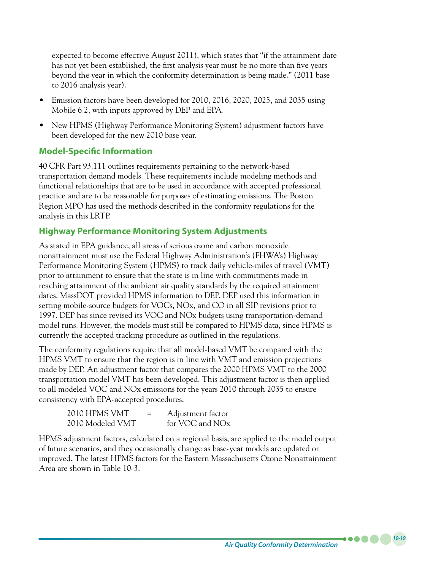expected to become effective August 2011), which states that "if the attainment date has not yet been established, the first analysis year must be no more than five years beyond the year in which the conformity determination is being made." (2011 base to 2016 analysis year).

- Emission factors have been developed for 2010, 2016, 2020, 2025, and 2035 using Mobile 6.2, with inputs approved by DEP and EPA.
- New HPMS (Highway Performance Monitoring System) adjustment factors have been developed for the new 2010 base year.

# **Model-Specific Information**

40 CFR Part 93.111 outlines requirements pertaining to the network-based transportation demand models. These requirements include modeling methods and functional relationships that are to be used in accordance with accepted professional practice and are to be reasonable for purposes of estimating emissions. The Boston Region MPO has used the methods described in the conformity regulations for the analysis in this LRTP.

### **Highway Performance Monitoring System Adjustments**

As stated in EPA guidance, all areas of serious ozone and carbon monoxide nonattainment must use the Federal Highway Administration's (FHWA's) Highway Performance Monitoring System (HPMS) to track daily vehicle-miles of travel (VMT) prior to attainment to ensure that the state is in line with commitments made in reaching attainment of the ambient air quality standards by the required attainment dates. MassDOT provided HPMS information to DEP. DEP used this information in setting mobile-source budgets for VOCs, NOx, and CO in all SIP revisions prior to 1997. DEP has since revised its VOC and NOx budgets using transportation-demand model runs. However, the models must still be compared to HPMS data, since HPMS is currently the accepted tracking procedure as outlined in the regulations.

The conformity regulations require that all model-based VMT be compared with the HPMS VMT to ensure that the region is in line with VMT and emission projections made by DEP. An adjustment factor that compares the 2000 HPMS VMT to the 2000 transportation model VMT has been developed. This adjustment factor is then applied to all modeled VOC and NOx emissions for the years 2010 through 2035 to ensure consistency with EPA-accepted procedures.

| 2010 HPMS VMT    | $=$ | Adjustment factor           |
|------------------|-----|-----------------------------|
| 2010 Modeled VMT |     | for VOC and NO <sub>x</sub> |

HPMS adjustment factors, calculated on a regional basis, are applied to the model output of future scenarios, and they occasionally change as base-year models are updated or improved. The latest HPMS factors for the Eastern Massachusetts Ozone Nonattainment Area are shown in Table 10-3.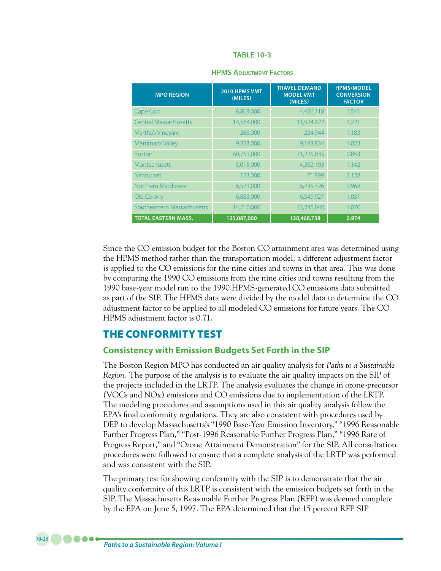| <b>MPO REGION</b>            | 2010 HPMS VMT<br>(MILES) | <b>TRAVEL DEMAND</b><br><b>MODEL VMT</b><br>(MILES) | <b>HPMS/MODEL</b><br><b>CONVERSION</b><br><b>FACTOR</b> |
|------------------------------|--------------------------|-----------------------------------------------------|---------------------------------------------------------|
| Cape Cod                     | 6,869,000                | 4,456,118                                           | 1.541                                                   |
| <b>Central Massachusetts</b> | 14,564,000               | 11,924,422                                          | 1.221                                                   |
| Martha's Vineyard            | 266,000                  | 224,944                                             | 1.183                                                   |
| Merrimack Valley             | 9,353,000                | 9,143,834                                           | 1.023                                                   |
| <b>Boston</b>                | 60,751,000               | 71,225,035                                          | 0.853                                                   |
| Montachusett                 | 5,015,000                | 4,392,193                                           | 1.142                                                   |
| Nantucket                    | 153,000                  | 71,899                                              | 2.128                                                   |
| Northern Middlesex           | 6,523,000                | 6,735,326                                           | 0.968                                                   |
| Old Colony                   | 6,883,000                | 6,549,927                                           | 1.051                                                   |
| Southeastern Massachusetts   | 14,710,000               | 13,745,040                                          | 1.070                                                   |
| <b>TOTAL EASTERN MASS.</b>   | 125,087,000              | 128,468,738                                         | 0.974                                                   |

#### **HPMS Adjustment Factors**

Since the CO emission budget for the Boston CO attainment area was determined using the HPMS method rather than the transportation model, a different adjustment factor is applied to the CO emissions for the nine cities and towns in that area. This was done by comparing the 1990 CO emissions from the nine cities and towns resulting from the 1990 base-year model run to the 1990 HPMS-generated CO emissions data submitted as part of the SIP. The HPMS data were divided by the model data to determine the CO adjustment factor to be applied to all modeled CO emissions for future years. The CO HPMS adjustment factor is 0.71.

# THE CONFORMITY TEST

### **Consistency with Emission Budgets Set Forth in the SIP**

The Boston Region MPO has conducted an air quality analysis for *Paths to a Sustainable Region.* The purpose of the analysis is to evaluate the air quality impacts on the SIP of the projects included in the LRTP. The analysis evaluates the change in ozone-precursor (VOCs and NOx) emissions and CO emissions due to implementation of the LRTP. The modeling procedures and assumptions used in this air quality analysis follow the EPA's final conformity regulations. They are also consistent with procedures used by DEP to develop Massachusetts's "1990 Base-Year Emission Inventory," "1996 Reasonable Further Progress Plan," "Post-1996 Reasonable Further Progress Plan," "1996 Rate of Progress Report," and "Ozone Attainment Demonstration" for the SIP. All consultation procedures were followed to ensure that a complete analysis of the LRTP was performed and was consistent with the SIP.

The primary test for showing conformity with the SIP is to demonstrate that the air quality conformity of this LRTP is consistent with the emission budgets set forth in the SIP. The Massachusetts Reasonable Further Progress Plan (RFP) was deemed complete by the EPA on June 5, 1997. The EPA determined that the 15 percent RFP SIP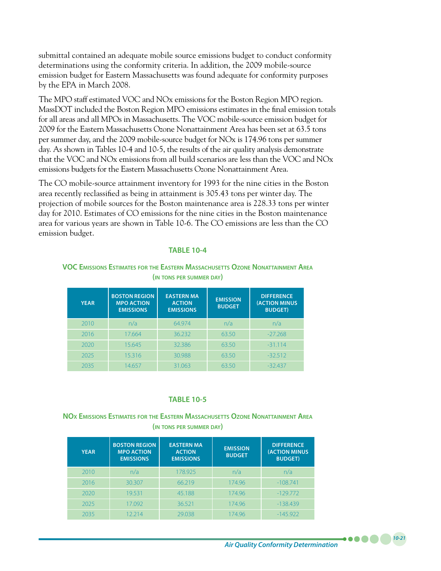submittal contained an adequate mobile source emissions budget to conduct conformity determinations using the conformity criteria. In addition, the 2009 mobile-source emission budget for Eastern Massachusetts was found adequate for conformity purposes by the EPA in March 2008.

The MPO staff estimated VOC and NOx emissions for the Boston Region MPO region. MassDOT included the Boston Region MPO emissions estimates in the final emission totals for all areas and all MPOs in Massachusetts. The VOC mobile-source emission budget for 2009 for the Eastern Massachusetts Ozone Nonattainment Area has been set at 63.5 tons per summer day, and the 2009 mobile-source budget for NOx is 174.96 tons per summer day. As shown in Tables 10-4 and 10-5, the results of the air quality analysis demonstrate that the VOC and NOx emissions from all build scenarios are less than the VOC and NOx emissions budgets for the Eastern Massachusetts Ozone Nonattainment Area.

The CO mobile-source attainment inventory for 1993 for the nine cities in the Boston area recently reclassified as being in attainment is 305.43 tons per winter day. The projection of mobile sources for the Boston maintenance area is 228.33 tons per winter day for 2010. Estimates of CO emissions for the nine cities in the Boston maintenance area for various years are shown in Table 10-6. The CO emissions are less than the CO emission budget.

#### **TABLE 10-4**

#### **VOC Emissions Estimates for the Eastern Massachusetts Ozone Nonattainment Area (in tons per summer day)**

| <b>YEAR</b> | <b>BOSTON REGION</b><br><b>MPO ACTION</b><br><b>EMISSIONS</b> | <b>EASTERN MA</b><br><b>ACTION</b><br><b>EMISSIONS</b> | <b>EMISSION</b><br><b>BUDGET</b> | <b>DIFFERENCE</b><br><b>(ACTION MINUS</b><br><b>BUDGET)</b> |
|-------------|---------------------------------------------------------------|--------------------------------------------------------|----------------------------------|-------------------------------------------------------------|
| 2010        | n/a                                                           | 64.974                                                 | n/a                              | n/a                                                         |
| 2016        | 17.664                                                        | 36.232                                                 | 63.50                            | $-27.268$                                                   |
| 2020        | 15.645                                                        | 32.386                                                 | 63.50                            | $-31.114$                                                   |
| 2025        | 15.316                                                        | 30.988                                                 | 63.50                            | $-32.512$                                                   |
| 2035        | 14657                                                         | 31.063                                                 | 63.50                            | $-32.437$                                                   |

#### **TABLE 10-5**

#### **NOx Emissions Estimates for the Eastern Massachusetts Ozone Nonattainment Area (in tons per summer day)**

| <b>YEAR</b> | <b>BOSTON REGION</b><br><b>MPO ACTION</b><br><b>EMISSIONS</b> | <b>EASTERN MA</b><br><b>ACTION</b><br><b>EMISSIONS</b> | <b>EMISSION</b><br><b>BUDGET</b> | <b>DIFFERENCE</b><br><b>(ACTION MINUS</b><br><b>BUDGET)</b> |
|-------------|---------------------------------------------------------------|--------------------------------------------------------|----------------------------------|-------------------------------------------------------------|
| 2010        | n/a                                                           | 178.925                                                | n/a                              | n/a                                                         |
| 2016        | 30.307                                                        | 66.219                                                 | 174.96                           | $-108.741$                                                  |
| 2020        | 19.531                                                        | 45.188                                                 | 174.96                           | $-129.772$                                                  |
| 2025        | 17.092                                                        | 36.521                                                 | 174.96                           | $-138.439$                                                  |
| 2035        | 12214                                                         | 29.038                                                 | 174.96                           | $-145922$                                                   |

*10-21*

. . . .